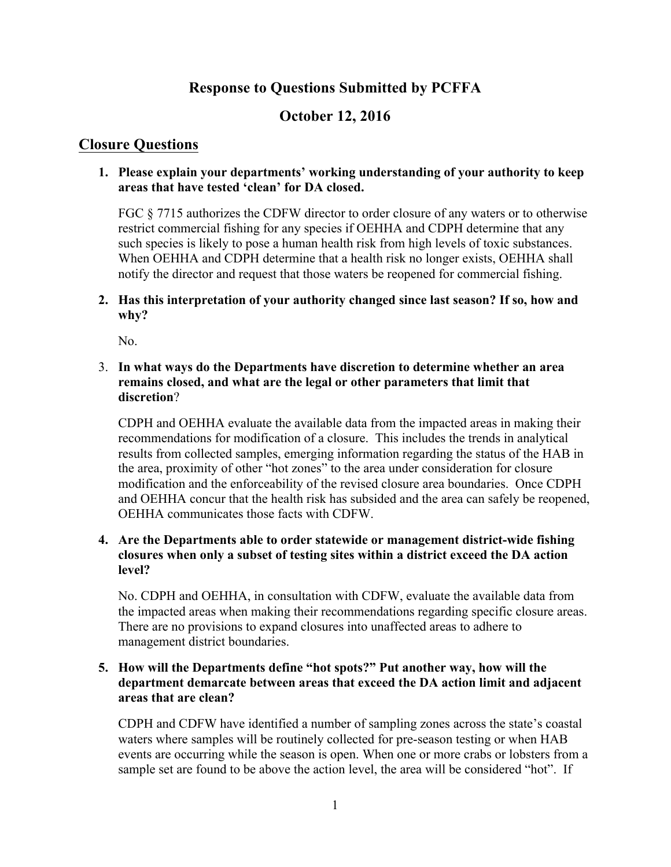# **Response to Questions Submitted by PCFFA**

# **October 12, 2016**

# **Closure Questions**

# **1. Please explain your departments' working understanding of your authority to keep areas that have tested 'clean' for DA closed.**

FGC § 7715 authorizes the CDFW director to order closure of any waters or to otherwise restrict commercial fishing for any species if OEHHA and CDPH determine that any such species is likely to pose a human health risk from high levels of toxic substances. When OEHHA and CDPH determine that a health risk no longer exists, OEHHA shall notify the director and request that those waters be reopened for commercial fishing.

# **2. Has this interpretation of your authority changed since last season? If so, how and why?**

No.

# 3. **In what ways do the Departments have discretion to determine whether an area remains closed, and what are the legal or other parameters that limit that discretion**?

CDPH and OEHHA evaluate the available data from the impacted areas in making their recommendations for modification of a closure. This includes the trends in analytical results from collected samples, emerging information regarding the status of the HAB in the area, proximity of other "hot zones" to the area under consideration for closure modification and the enforceability of the revised closure area boundaries. Once CDPH and OEHHA concur that the health risk has subsided and the area can safely be reopened, OEHHA communicates those facts with CDFW.

### **4. Are the Departments able to order statewide or management district-wide fishing closures when only a subset of testing sites within a district exceed the DA action level?**

No. CDPH and OEHHA, in consultation with CDFW, evaluate the available data from the impacted areas when making their recommendations regarding specific closure areas. There are no provisions to expand closures into unaffected areas to adhere to management district boundaries.

# **5. How will the Departments define "hot spots?" Put another way, how will the department demarcate between areas that exceed the DA action limit and adjacent areas that are clean?**

CDPH and CDFW have identified a number of sampling zones across the state's coastal waters where samples will be routinely collected for pre-season testing or when HAB events are occurring while the season is open. When one or more crabs or lobsters from a sample set are found to be above the action level, the area will be considered "hot". If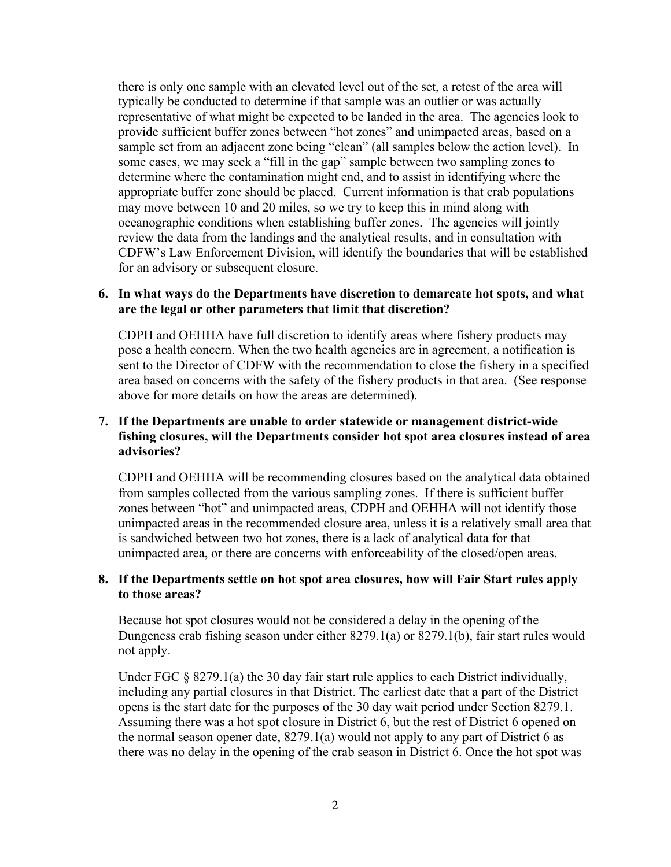there is only one sample with an elevated level out of the set, a retest of the area will typically be conducted to determine if that sample was an outlier or was actually representative of what might be expected to be landed in the area. The agencies look to provide sufficient buffer zones between "hot zones" and unimpacted areas, based on a sample set from an adjacent zone being "clean" (all samples below the action level). In some cases, we may seek a "fill in the gap" sample between two sampling zones to determine where the contamination might end, and to assist in identifying where the appropriate buffer zone should be placed. Current information is that crab populations may move between 10 and 20 miles, so we try to keep this in mind along with oceanographic conditions when establishing buffer zones. The agencies will jointly review the data from the landings and the analytical results, and in consultation with CDFW's Law Enforcement Division, will identify the boundaries that will be established for an advisory or subsequent closure.

#### **6. In what ways do the Departments have discretion to demarcate hot spots, and what are the legal or other parameters that limit that discretion?**

CDPH and OEHHA have full discretion to identify areas where fishery products may pose a health concern. When the two health agencies are in agreement, a notification is sent to the Director of CDFW with the recommendation to close the fishery in a specified area based on concerns with the safety of the fishery products in that area. (See response above for more details on how the areas are determined).

#### **7. If the Departments are unable to order statewide or management district-wide fishing closures, will the Departments consider hot spot area closures instead of area advisories?**

CDPH and OEHHA will be recommending closures based on the analytical data obtained from samples collected from the various sampling zones. If there is sufficient buffer zones between "hot" and unimpacted areas, CDPH and OEHHA will not identify those unimpacted areas in the recommended closure area, unless it is a relatively small area that is sandwiched between two hot zones, there is a lack of analytical data for that unimpacted area, or there are concerns with enforceability of the closed/open areas.

#### **8. If the Departments settle on hot spot area closures, how will Fair Start rules apply to those areas?**

Because hot spot closures would not be considered a delay in the opening of the Dungeness crab fishing season under either 8279.1(a) or 8279.1(b), fair start rules would not apply.

Under FGC § 8279.1(a) the 30 day fair start rule applies to each District individually, including any partial closures in that District. The earliest date that a part of the District opens is the start date for the purposes of the 30 day wait period under Section 8279.1. Assuming there was a hot spot closure in District 6, but the rest of District 6 opened on the normal season opener date, 8279.1(a) would not apply to any part of District 6 as there was no delay in the opening of the crab season in District 6. Once the hot spot was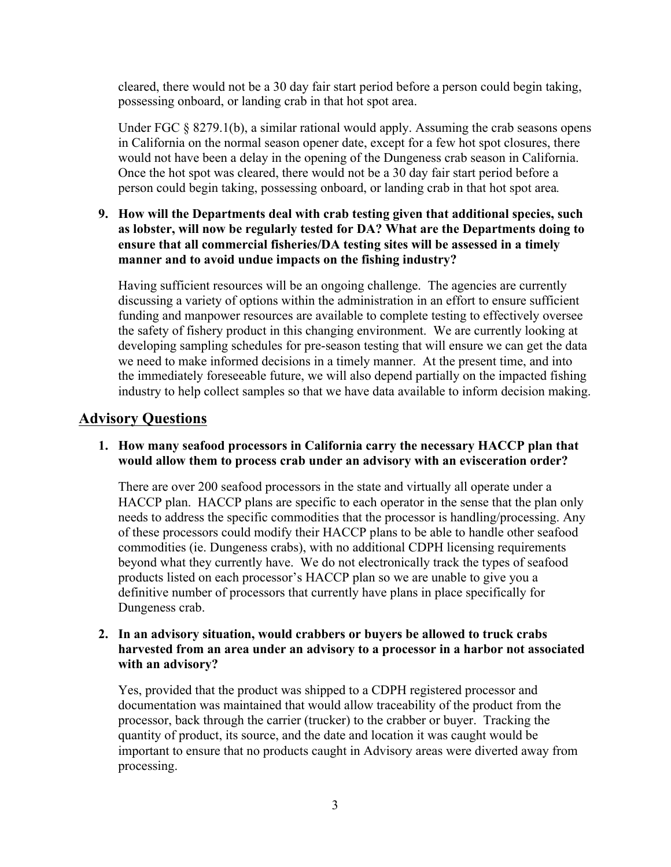cleared, there would not be a 30 day fair start period before a person could begin taking, possessing onboard, or landing crab in that hot spot area.

Under FGC  $\S 8279.1(b)$ , a similar rational would apply. Assuming the crab seasons opens in California on the normal season opener date, except for a few hot spot closures, there would not have been a delay in the opening of the Dungeness crab season in California. Once the hot spot was cleared, there would not be a 30 day fair start period before a person could begin taking, possessing onboard, or landing crab in that hot spot area*.* 

**9. How will the Departments deal with crab testing given that additional species, such as lobster, will now be regularly tested for DA? What are the Departments doing to ensure that all commercial fisheries/DA testing sites will be assessed in a timely manner and to avoid undue impacts on the fishing industry?**

Having sufficient resources will be an ongoing challenge. The agencies are currently discussing a variety of options within the administration in an effort to ensure sufficient funding and manpower resources are available to complete testing to effectively oversee the safety of fishery product in this changing environment. We are currently looking at developing sampling schedules for pre-season testing that will ensure we can get the data we need to make informed decisions in a timely manner. At the present time, and into the immediately foreseeable future, we will also depend partially on the impacted fishing industry to help collect samples so that we have data available to inform decision making.

# **Advisory Questions**

# **1. How many seafood processors in California carry the necessary HACCP plan that would allow them to process crab under an advisory with an evisceration order?**

There are over 200 seafood processors in the state and virtually all operate under a HACCP plan. HACCP plans are specific to each operator in the sense that the plan only needs to address the specific commodities that the processor is handling/processing. Any of these processors could modify their HACCP plans to be able to handle other seafood commodities (ie. Dungeness crabs), with no additional CDPH licensing requirements beyond what they currently have. We do not electronically track the types of seafood products listed on each processor's HACCP plan so we are unable to give you a definitive number of processors that currently have plans in place specifically for Dungeness crab.

#### **2. In an advisory situation, would crabbers or buyers be allowed to truck crabs harvested from an area under an advisory to a processor in a harbor not associated with an advisory?**

Yes, provided that the product was shipped to a CDPH registered processor and documentation was maintained that would allow traceability of the product from the processor, back through the carrier (trucker) to the crabber or buyer. Tracking the quantity of product, its source, and the date and location it was caught would be important to ensure that no products caught in Advisory areas were diverted away from processing.